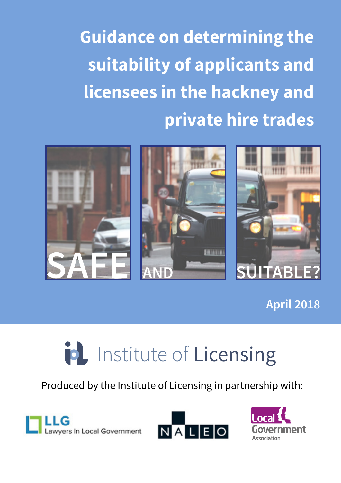

**April 2018**

# id Institute of Licensing

Produced by the Institute of Licensing in partnership with:





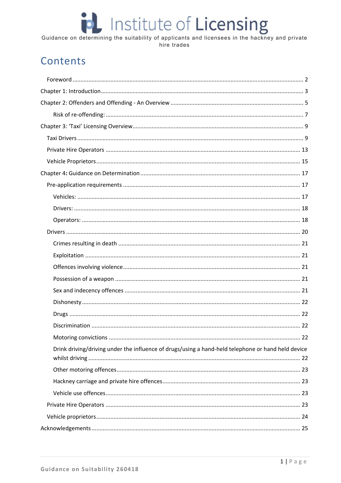# Guidance on determining the suitability of applicants and licensees in the hackney and private

# Contents

| Drink driving/driving under the influence of drugs/using a hand-held telephone or hand held device |
|----------------------------------------------------------------------------------------------------|
|                                                                                                    |
|                                                                                                    |
|                                                                                                    |
|                                                                                                    |
|                                                                                                    |
|                                                                                                    |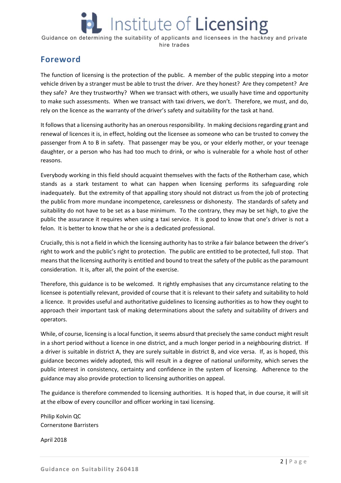# Institute of **Licensing**

Guidance on determining the suitability of applicants and licensees in the hackney and private hire trades

## **Foreword**

The function of licensing is the protection of the public. A member of the public stepping into a motor vehicle driven by a stranger must be able to trust the driver. Are they honest? Are they competent? Are they safe? Are they trustworthy? When we transact with others, we usually have time and opportunity to make such assessments. When we transact with taxi drivers, we don't. Therefore, we must, and do, rely on the licence as the warranty of the driver's safety and suitability for the task at hand.

It follows that a licensing authority has an onerous responsibility. In making decisions regarding grant and renewal of licences it is, in effect, holding out the licensee as someone who can be trusted to convey the passenger from A to B in safety. That passenger may be you, or your elderly mother, or your teenage daughter, or a person who has had too much to drink, or who is vulnerable for a whole host of other reasons.

Everybody working in this field should acquaint themselves with the facts of the Rotherham case, which stands as a stark testament to what can happen when licensing performs its safeguarding role inadequately. But the extremity of that appalling story should not distract us from the job of protecting the public from more mundane incompetence, carelessness or dishonesty. The standards of safety and suitability do not have to be set as a base minimum. To the contrary, they may be set high, to give the public the assurance it requires when using a taxi service. It is good to know that one's driver is not a felon. It is better to know that he or she is a dedicated professional.

Crucially, this is not a field in which the licensing authority has to strike a fair balance between the driver's right to work and the public's right to protection. The public are entitled to be protected, full stop. That means that the licensing authority is entitled and bound to treat the safety of the public as the paramount consideration. It is, after all, the point of the exercise.

Therefore, this guidance is to be welcomed. It rightly emphasises that any circumstance relating to the licensee is potentially relevant, provided of course that it is relevant to their safety and suitability to hold a licence. It provides useful and authoritative guidelines to licensing authorities as to how they ought to approach their important task of making determinations about the safety and suitability of drivers and operators.

While, of course, licensing is a local function, it seems absurd that precisely the same conduct might result in a short period without a licence in one district, and a much longer period in a neighbouring district. If a driver is suitable in district A, they are surely suitable in district B, and vice versa. If, as is hoped, this guidance becomes widely adopted, this will result in a degree of national uniformity, which serves the public interest in consistency, certainty and confidence in the system of licensing. Adherence to the guidance may also provide protection to licensing authorities on appeal.

The guidance is therefore commended to licensing authorities. It is hoped that, in due course, it will sit at the elbow of every councillor and officer working in taxi licensing.

Philip Kolvin QC Cornerstone Barristers

April 2018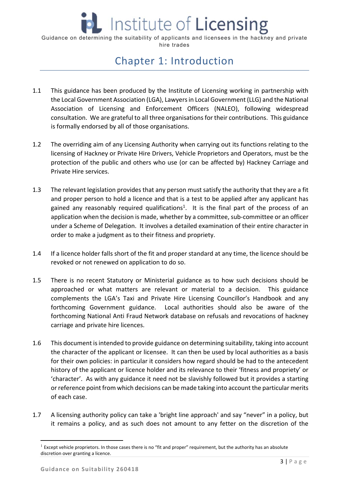# Chapter 1: Introduction

- 1.1 This guidance has been produced by the Institute of Licensing working in partnership with the Local Government Association (LGA), Lawyers in Local Government (LLG) and the National Association of Licensing and Enforcement Officers (NALEO), following widespread consultation. We are grateful to all three organisations for their contributions. This guidance is formally endorsed by all of those organisations.
- 1.2 The overriding aim of any Licensing Authority when carrying out its functions relating to the licensing of Hackney or Private Hire Drivers, Vehicle Proprietors and Operators, must be the protection of the public and others who use (or can be affected by) Hackney Carriage and Private Hire services.
- 1.3 The relevant legislation provides that any person must satisfy the authority that they are a fit and proper person to hold a licence and that is a test to be applied after any applicant has gained any reasonably required qualifications<sup>1</sup>. It is the final part of the process of an application when the decision is made, whether by a committee, sub‐committee or an officer under a Scheme of Delegation. It involves a detailed examination of their entire character in order to make a judgment as to their fitness and propriety.
- 1.4 If a licence holder falls short of the fit and proper standard at any time, the licence should be revoked or not renewed on application to do so.
- 1.5 There is no recent Statutory or Ministerial guidance as to how such decisions should be approached or what matters are relevant or material to a decision. This guidance complements the LGA's Taxi and Private Hire Licensing Councillor's Handbook and any forthcoming Government guidance. Local authorities should also be aware of the forthcoming National Anti Fraud Network database on refusals and revocations of hackney carriage and private hire licences.
- 1.6 This document is intended to provide guidance on determining suitability, taking into account the character of the applicant or licensee. It can then be used by local authorities as a basis for their own policies: in particular it considers how regard should be had to the antecedent history of the applicant or licence holder and its relevance to their 'fitness and propriety' or 'character'. As with any guidance it need not be slavishly followed but it provides a starting or reference point from which decisions can be made taking into account the particular merits of each case.
- 1.7 A licensing authority policy can take a 'bright line approach' and say "never" in a policy, but it remains a policy, and as such does not amount to any fetter on the discretion of the

 $1$  Except vehicle proprietors. In those cases there is no "fit and proper" requirement, but the authority has an absolute discretion over granting a licence.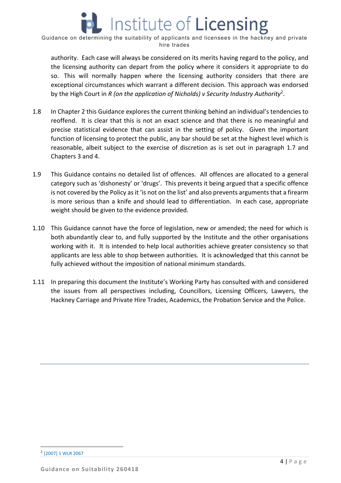authority. Each case will always be considered on its merits having regard to the policy, and the licensing authority can depart from the policy where it considers it appropriate to do so. This will normally happen where the licensing authority considers that there are exceptional circumstances which warrant a different decision. This approach was endorsed by the High Court in *R (on the application of Nicholds) v Security Industry Authority*2.

- 1.8 In Chapter 2 this Guidance explores the current thinking behind an individual's tendencies to reoffend. It is clear that this is not an exact science and that there is no meaningful and precise statistical evidence that can assist in the setting of policy. Given the important function of licensing to protect the public, any bar should be set at the highest level which is reasonable, albeit subject to the exercise of discretion as is set out in paragraph 1.7 and Chapters 3 and 4.
- 1.9 This Guidance contains no detailed list of offences. All offences are allocated to a general category such as 'dishonesty' or 'drugs'. This prevents it being argued that a specific offence is not covered by the Policy as it 'is not on the list' and also prevents arguments that a firearm is more serious than a knife and should lead to differentiation. In each case, appropriate weight should be given to the evidence provided.
- 1.10 This Guidance cannot have the force of legislation, new or amended; the need for which is both abundantly clear to, and fully supported by the Institute and the other organisations working with it. It is intended to help local authorities achieve greater consistency so that applicants are less able to shop between authorities. It is acknowledged that this cannot be fully achieved without the imposition of national minimum standards.
- 1.11 In preparing this document the Institute's Working Party has consulted with and considered the issues from all perspectives including, Councillors, Licensing Officers, Lawyers, the Hackney Carriage and Private Hire Trades, Academics, the Probation Service and the Police.

 <sup>2</sup> [2007] 1 WLR 2067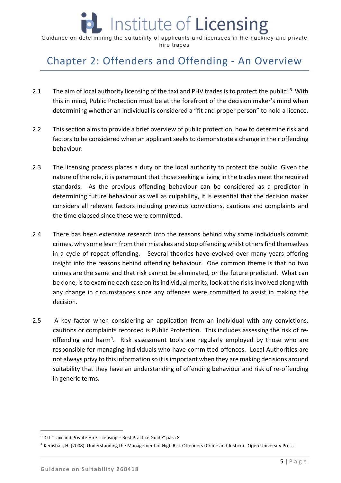# Chapter 2: Offenders and Offending ‐ An Overview

- 2.1 The aim of local authority licensing of the taxi and PHV trades is to protect the public'.<sup>3</sup> With this in mind, Public Protection must be at the forefront of the decision maker's mind when determining whether an individual is considered a "fit and proper person" to hold a licence.
- 2.2 This section aims to provide a brief overview of public protection, how to determine risk and factors to be considered when an applicant seeks to demonstrate a change in their offending behaviour.
- 2.3 The licensing process places a duty on the local authority to protect the public. Given the nature of the role, it is paramount that those seeking a living in the trades meet the required standards. As the previous offending behaviour can be considered as a predictor in determining future behaviour as well as culpability, it is essential that the decision maker considers all relevant factors including previous convictions, cautions and complaints and the time elapsed since these were committed.
- 2.4 There has been extensive research into the reasons behind why some individuals commit crimes, why some learn from their mistakes and stop offending whilst others find themselves in a cycle of repeat offending. Several theories have evolved over many years offering insight into the reasons behind offending behaviour. One common theme is that no two crimes are the same and that risk cannot be eliminated, or the future predicted. What can be done, is to examine each case on its individual merits, look at the risks involved along with any change in circumstances since any offences were committed to assist in making the decision.
- 2.5 A key factor when considering an application from an individual with any convictions, cautions or complaints recorded is Public Protection. This includes assessing the risk of re‐ offending and harm<sup>4</sup>. Risk assessment tools are regularly employed by those who are responsible for managing individuals who have committed offences. Local Authorities are not always privy to this information so it is important when they are making decisions around suitability that they have an understanding of offending behaviour and risk of re-offending in generic terms.

 $3$  DfT "Taxi and Private Hire Licensing – Best Practice Guide" para 8

<sup>4</sup> Kemshall, H. (2008). Understanding the Management of High Risk Offenders (Crime and Justice). Open University Press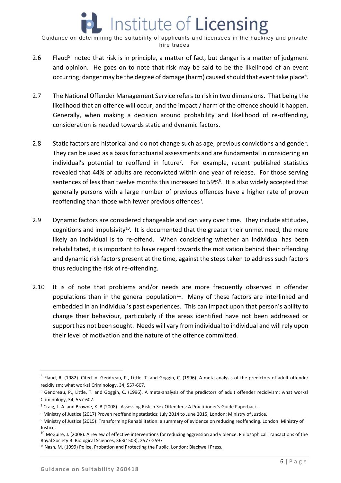- 2.6 Flaud<sup>5</sup> noted that risk is in principle, a matter of fact, but danger is a matter of judgment and opinion. He goes on to note that risk may be said to be the likelihood of an event occurring; danger may be the degree of damage (harm) caused should that event take place<sup>6</sup>.
- 2.7 The National Offender Management Service refers to risk in two dimensions. That being the likelihood that an offence will occur, and the impact / harm of the offence should it happen. Generally, when making a decision around probability and likelihood of re-offending, consideration is needed towards static and dynamic factors.
- 2.8 Static factors are historical and do not change such as age, previous convictions and gender. They can be used as a basis for actuarial assessments and are fundamental in considering an individual's potential to reoffend in future<sup>7</sup>. For example, recent published statistics revealed that 44% of adults are reconvicted within one year of release. For those serving sentences of less than twelve months this increased to 59%<sup>8</sup>. It is also widely accepted that generally persons with a large number of previous offences have a higher rate of proven reoffending than those with fewer previous offences<sup>9</sup>.
- 2.9 Dynamic factors are considered changeable and can vary over time. They include attitudes, cognitions and impulsivity<sup>10</sup>. It is documented that the greater their unmet need, the more likely an individual is to re-offend. When considering whether an individual has been rehabilitated, it is important to have regard towards the motivation behind their offending and dynamic risk factors present at the time, against the steps taken to address such factors thus reducing the risk of re‐offending.
- 2.10 It is of note that problems and/or needs are more frequently observed in offender populations than in the general population $11$ . Many of these factors are interlinked and embedded in an individual's past experiences. This can impact upon that person's ability to change their behaviour, particularly if the areas identified have not been addressed or support has not been sought. Needs will vary from individual to individual and will rely upon their level of motivation and the nature of the offence committed.

<sup>&</sup>lt;sup>5</sup> Flaud, R. (1982). Cited in, Gendreau, P., Little, T. and Goggin, C. (1996). A meta-analysis of the predictors of adult offender recidivism: what works! Criminology, 34, 557‐607.

 $6$  Gendreau, P., Little, T. and Goggin, C. (1996). A meta-analysis of the predictors of adult offender recidivism: what works! Criminology, 34, 557‐607.

<sup>7</sup> Craig, L. A. and Browne, K. B (2008). Assessing Risk in Sex Offenders: A Practitioner's Guide Paperback.

<sup>8</sup> Ministry of Justice (2017) Proven reoffending statistics: July 2014 to June 2015, London: Ministry of Justice.

<sup>&</sup>lt;sup>9</sup> Ministry of Justice (2015): Transforming Rehabilitation: a summary of evidence on reducing reoffending. London: Ministry of Justice.

 $10$  McGuire, J. (2008). A review of effective interventions for reducing aggression and violence. Philosophical Transactions of the Royal Society B: Biological Sciences, 363(1503), 2577‐2597

<sup>&</sup>lt;sup>11</sup> Nash, M. (1999) Police, Probation and Protecting the Public. London: Blackwell Press.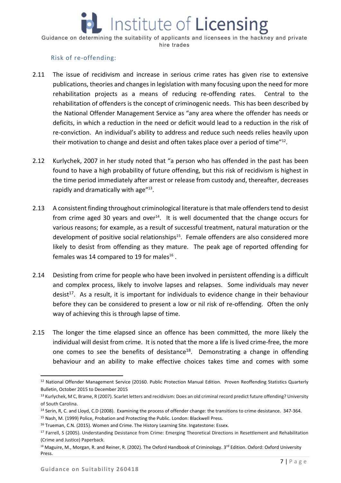#### Risk of re‐offending:

- 2.11 The issue of recidivism and increase in serious crime rates has given rise to extensive publications, theories and changes in legislation with many focusing upon the need for more rehabilitation projects as a means of reducing re-offending rates. Central to the rehabilitation of offenders is the concept of criminogenic needs. This has been described by the National Offender Management Service as "any area where the offender has needs or deficits, in which a reduction in the need or deficit would lead to a reduction in the risk of re-conviction. An individual's ability to address and reduce such needs relies heavily upon their motivation to change and desist and often takes place over a period of time"<sup>12</sup>.
- 2.12 Kurlychek, 2007 in her study noted that "a person who has offended in the past has been found to have a high probability of future offending, but this risk of recidivism is highest in the time period immediately after arrest or release from custody and, thereafter, decreases rapidly and dramatically with age"<sup>13</sup>.
- 2.13 A consistent finding throughout criminological literature is that male offenders tend to desist from crime aged 30 years and over<sup>14</sup>. It is well documented that the change occurs for various reasons; for example, as a result of successful treatment, natural maturation or the development of positive social relationships<sup>15</sup>. Female offenders are also considered more likely to desist from offending as they mature. The peak age of reported offending for females was 14 compared to 19 for males $^{16}$ .
- 2.14 Desisting from crime for people who have been involved in persistent offending is a difficult and complex process, likely to involve lapses and relapses. Some individuals may never desist<sup>17</sup>. As a result, it is important for individuals to evidence change in their behaviour before they can be considered to present a low or nil risk of re-offending. Often the only way of achieving this is through lapse of time.
- 2.15 The longer the time elapsed since an offence has been committed, the more likely the individual will desist from crime. It is noted that the more a life is lived crime-free, the more one comes to see the benefits of desistance<sup>18</sup>. Demonstrating a change in offending behaviour and an ability to make effective choices takes time and comes with some

<sup>&</sup>lt;sup>12</sup> National Offender Management Service (20160. Public Protection Manual Edition. Proven Reoffending Statistics Quarterly Bulletin, October 2015 to December 2015

<sup>13</sup> Kurlychek, M C, Brame, R (2007). Scarlet letters and recidivism: Does an old criminal record predict future offending? University of South Carolina.

<sup>14</sup> Serin, R, C. and Lloyd, C.D (2008). Examining the process of offender change: the transitions to crime desistance. 347‐364.

<sup>&</sup>lt;sup>15</sup> Nash, M. (1999) Police, Probation and Protecting the Public. London: Blackwell Press.

<sup>&</sup>lt;sup>16</sup> Trueman, C.N. (2015). Women and Crime. The History Learning Site. Ingatestone: Essex.

<sup>&</sup>lt;sup>17</sup> Farrell, S (2005). Understanding Desistance from Crime: Emerging Theoretical Directions in Resettlement and Rehabilitation (Crime and Justice) Paperback.

<sup>&</sup>lt;sup>18</sup> Maguire, M., Morgan, R. and Reiner, R. (2002). The Oxford Handbook of Criminology. 3<sup>rd</sup> Edition. Oxford: Oxford University Press.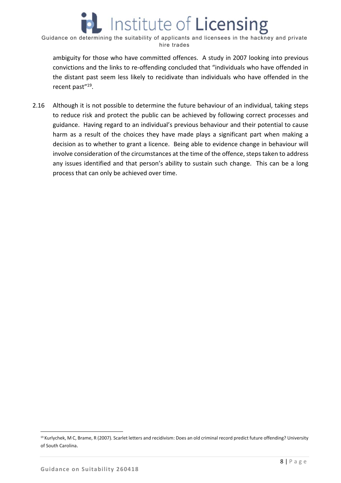ambiguity for those who have committed offences. A study in 2007 looking into previous convictions and the links to re‐offending concluded that "individuals who have offended in the distant past seem less likely to recidivate than individuals who have offended in the recent past"<sup>19</sup>.

2.16 Although it is not possible to determine the future behaviour of an individual, taking steps to reduce risk and protect the public can be achieved by following correct processes and guidance. Having regard to an individual's previous behaviour and their potential to cause harm as a result of the choices they have made plays a significant part when making a decision as to whether to grant a licence. Being able to evidence change in behaviour will involve consideration of the circumstances at the time of the offence, steps taken to address any issues identified and that person's ability to sustain such change. This can be a long process that can only be achieved over time.

<sup>19</sup> Kurlychek, M C, Brame, R (2007). Scarlet letters and recidivism: Does an old criminal record predict future offending? University of South Carolina.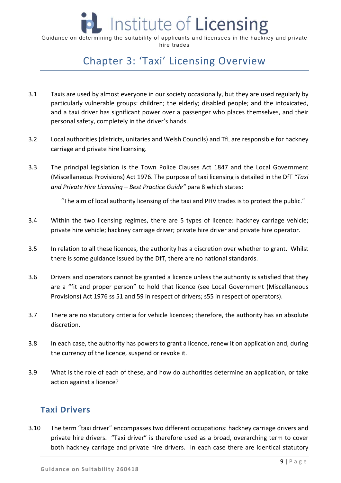

# Chapter 3: 'Taxi' Licensing Overview

- 3.1 Taxis are used by almost everyone in our society occasionally, but they are used regularly by particularly vulnerable groups: children; the elderly; disabled people; and the intoxicated, and a taxi driver has significant power over a passenger who places themselves, and their personal safety, completely in the driver's hands.
- 3.2 Local authorities (districts, unitaries and Welsh Councils) and TfL are responsible for hackney carriage and private hire licensing.
- 3.3 The principal legislation is the Town Police Clauses Act 1847 and the Local Government (Miscellaneous Provisions) Act 1976. The purpose of taxi licensing is detailed in the DfT *"Taxi and Private Hire Licensing – Best Practice Guide"* para 8 which states:

"The aim of local authority licensing of the taxi and PHV trades is to protect the public."

- 3.4 Within the two licensing regimes, there are 5 types of licence: hackney carriage vehicle; private hire vehicle; hackney carriage driver; private hire driver and private hire operator.
- 3.5 In relation to all these licences, the authority has a discretion over whether to grant. Whilst there is some guidance issued by the DfT, there are no national standards.
- 3.6 Drivers and operators cannot be granted a licence unless the authority is satisfied that they are a "fit and proper person" to hold that licence (see Local Government (Miscellaneous Provisions) Act 1976 ss 51 and 59 in respect of drivers; s55 in respect of operators).
- 3.7 There are no statutory criteria for vehicle licences; therefore, the authority has an absolute discretion.
- 3.8 In each case, the authority has powers to grant a licence, renew it on application and, during the currency of the licence, suspend or revoke it.
- 3.9 What is the role of each of these, and how do authorities determine an application, or take action against a licence?

## **Taxi Drivers**

3.10 The term "taxi driver" encompasses two different occupations: hackney carriage drivers and private hire drivers. "Taxi driver" is therefore used as a broad, overarching term to cover both hackney carriage and private hire drivers. In each case there are identical statutory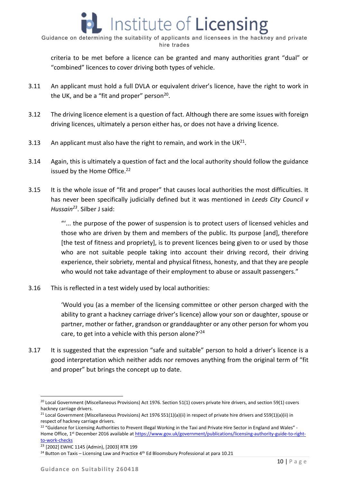criteria to be met before a licence can be granted and many authorities grant "dual" or "combined" licences to cover driving both types of vehicle.

- 3.11 An applicant must hold a full DVLA or equivalent driver's licence, have the right to work in the UK, and be a "fit and proper" person $20$ .
- 3.12 The driving licence element is a question of fact. Although there are some issues with foreign driving licences, ultimately a person either has, or does not have a driving licence.
- 3.13 An applicant must also have the right to remain, and work in the  $UK^{21}$ .
- 3.14 Again, this is ultimately a question of fact and the local authority should follow the guidance issued by the Home Office.<sup>22</sup>
- 3.15 It is the whole issue of "fit and proper" that causes local authorities the most difficulties. It has never been specifically judicially defined but it was mentioned in *Leeds City Council v Hussain23*. Silber J said:

"'... the purpose of the power of suspension is to protect users of licensed vehicles and those who are driven by them and members of the public. Its purpose [and], therefore [the test of fitness and propriety], is to prevent licences being given to or used by those who are not suitable people taking into account their driving record, their driving experience, their sobriety, mental and physical fitness, honesty, and that they are people who would not take advantage of their employment to abuse or assault passengers."

3.16 This is reflected in a test widely used by local authorities:

'Would you (as a member of the licensing committee or other person charged with the ability to grant a hackney carriage driver's licence) allow your son or daughter, spouse or partner, mother or father, grandson or granddaughter or any other person for whom you care, to get into a vehicle with this person alone?'<sup>24</sup>

3.17 It is suggested that the expression "safe and suitable" person to hold a driver's licence is a good interpretation which neither adds nor removes anything from the original term of "fit and proper" but brings the concept up to date.

<sup>&</sup>lt;sup>20</sup> Local Government (Miscellaneous Provisions) Act 1976. Section 51(1) covers private hire drivers, and section 59(1) covers hackney carriage drivers.

<sup>&</sup>lt;sup>21</sup> Local Government (Miscellaneous Provisions) Act 1976 S51(1)(a)(ii) in respect of private hire drivers and S59(1)(a)(ii) in respect of hackney carriage drivers.

<sup>&</sup>lt;sup>22</sup> "Guidance for Licensing Authorities to Prevent Illegal Working in the Taxi and Private Hire Sector in England and Wales" -Home Office, 1<sup>st</sup> December 2016 available at https://www.gov.uk/government/publications/licensing-authority-guide-to-rightto‐work‐checks

<sup>23</sup> [2002] EWHC 1145 (Admin), [2003] RTR 199

 $24$  Button on Taxis – Licensing Law and Practice  $4<sup>th</sup>$  Ed Bloomsbury Professional at para 10.21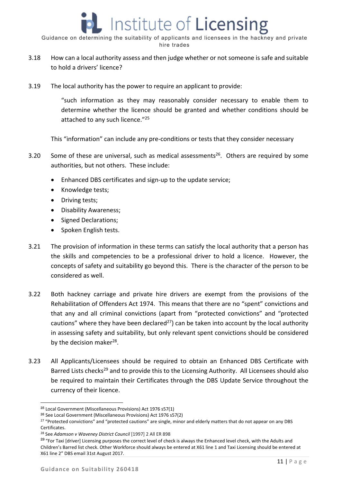- 3.18 How can a local authority assess and then judge whether or not someone is safe and suitable to hold a drivers' licence?
- 3.19 The local authority has the power to require an applicant to provide:

"such information as they may reasonably consider necessary to enable them to determine whether the licence should be granted and whether conditions should be attached to any such licence."<sup>25</sup>

This "information" can include any pre‐conditions or tests that they consider necessary

- 3.20 Some of these are universal, such as medical assessments<sup>26</sup>. Others are required by some authorities, but not others. These include:
	- Enhanced DBS certificates and sign‐up to the update service;
	- Knowledge tests;
	- Driving tests;
	- Disability Awareness;
	- Signed Declarations;
	- Spoken English tests.
- 3.21 The provision of information in these terms can satisfy the local authority that a person has the skills and competencies to be a professional driver to hold a licence. However, the concepts of safety and suitability go beyond this. There is the character of the person to be considered as well.
- 3.22 Both hackney carriage and private hire drivers are exempt from the provisions of the Rehabilitation of Offenders Act 1974. This means that there are no "spent" convictions and that any and all criminal convictions (apart from "protected convictions" and "protected cautions" where they have been declared<sup>27</sup>) can be taken into account by the local authority in assessing safety and suitability, but only relevant spent convictions should be considered by the decision maker<sup>28</sup>.
- 3.23 All Applicants/Licensees should be required to obtain an Enhanced DBS Certificate with Barred Lists checks<sup>29</sup> and to provide this to the Licensing Authority. All Licensees should also be required to maintain their Certificates through the DBS Update Service throughout the currency of their licence.

<sup>25</sup> Local Government (Miscellaneous Provisions) Act 1976 s57(1)

<sup>26</sup> See Local Government (Miscellaneous Provisions) Act 1976 s57(2)

<sup>&</sup>lt;sup>27</sup> "Protected convictions" and "protected cautions" are single, minor and elderly matters that do not appear on any DBS Certificates.

<sup>28</sup> See *Adamson v Waveney District Council* [1997] 2 All ER 898

<sup>&</sup>lt;sup>29</sup> "For Taxi [driver] Licensing purposes the correct level of check is always the Enhanced level check, with the Adults and Children's Barred list check. Other Workforce should always be entered at X61 line 1 and Taxi Licensing should be entered at X61 line 2" DBS email 31st August 2017.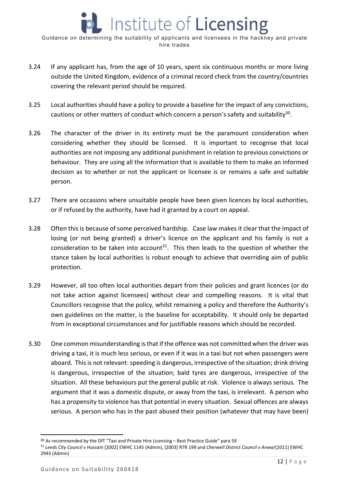- 3.24 If any applicant has, from the age of 10 years, spent six continuous months or more living outside the United Kingdom, evidence of a criminal record check from the country/countries covering the relevant period should be required.
- 3.25 Local authorities should have a policy to provide a baseline for the impact of any convictions, cautions or other matters of conduct which concern a person's safety and suitability<sup>30</sup>.
- 3.26 The character of the driver in its entirety must be the paramount consideration when considering whether they should be licensed. It is important to recognise that local authorities are not imposing any additional punishment in relation to previous convictions or behaviour. They are using all the information that is available to them to make an informed decision as to whether or not the applicant or licensee is or remains a safe and suitable person.
- 3.27 There are occasions where unsuitable people have been given licences by local authorities, or if refused by the authority, have had it granted by a court on appeal.
- 3.28 Often this is because of some perceived hardship. Case law makes it clear that the impact of losing (or not being granted) a driver's licence on the applicant and his family is not a consideration to be taken into account<sup>31</sup>. This then leads to the question of whether the stance taken by local authorities is robust enough to achieve that overriding aim of public protection.
- 3.29 However, all too often local authorities depart from their policies and grant licences (or do not take action against licensees) without clear and compelling reasons. It is vital that Councillors recognise that the policy, whilst remaining a policy and therefore the Authority's own guidelines on the matter, is the baseline for acceptability. It should only be departed from in exceptional circumstances and for justifiable reasons which should be recorded.
- 3.30 One common misunderstanding is that if the offence was not committed when the driver was driving a taxi, it is much less serious, or even if it was in a taxi but not when passengers were aboard. This is not relevant: speeding is dangerous, irrespective of the situation; drink driving is dangerous, irrespective of the situation; bald tyres are dangerous, irrespective of the situation. All these behaviours put the general public at risk. Violence is always serious. The argument that it was a domestic dispute, or away from the taxi, is irrelevant. A person who has a propensity to violence has that potential in every situation. Sexual offences are always serious. A person who has in the past abused their position (whatever that may have been)

<sup>30</sup> As recommended by the DfT "Taxi and Private Hire Licensing – Best Practice Guide" para 59

<sup>31</sup> *Leeds City Council v Hussain* [2002] EWHC 1145 (Admin), [2003] RTR 199 and *Cherwell District Council v Anwar*[2011] EWHC 2943 (Admin)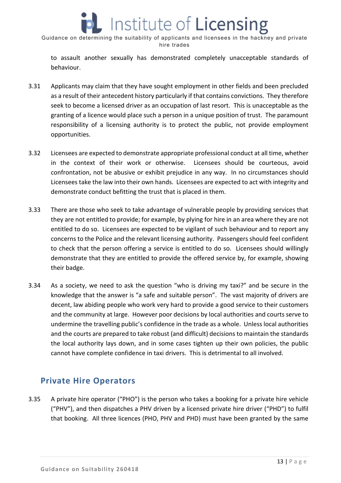

to assault another sexually has demonstrated completely unacceptable standards of behaviour.

- 3.31 Applicants may claim that they have sought employment in other fields and been precluded as a result of their antecedent history particularly if that contains convictions. They therefore seek to become a licensed driver as an occupation of last resort. This is unacceptable as the granting of a licence would place such a person in a unique position of trust. The paramount responsibility of a licensing authority is to protect the public, not provide employment opportunities.
- 3.32 Licensees are expected to demonstrate appropriate professional conduct at all time, whether in the context of their work or otherwise. Licensees should be courteous, avoid confrontation, not be abusive or exhibit prejudice in any way. In no circumstances should Licensees take the law into their own hands. Licensees are expected to act with integrity and demonstrate conduct befitting the trust that is placed in them.
- 3.33 There are those who seek to take advantage of vulnerable people by providing services that they are not entitled to provide; for example, by plying for hire in an area where they are not entitled to do so. Licensees are expected to be vigilant of such behaviour and to report any concerns to the Police and the relevant licensing authority. Passengers should feel confident to check that the person offering a service is entitled to do so. Licensees should willingly demonstrate that they are entitled to provide the offered service by, for example, showing their badge.
- 3.34 As a society, we need to ask the question "who is driving my taxi?" and be secure in the knowledge that the answer is "a safe and suitable person". The vast majority of drivers are decent, law abiding people who work very hard to provide a good service to their customers and the community at large. However poor decisions by local authorities and courts serve to undermine the travelling public's confidence in the trade as a whole. Unless local authorities and the courts are prepared to take robust (and difficult) decisions to maintain the standards the local authority lays down, and in some cases tighten up their own policies, the public cannot have complete confidence in taxi drivers. This is detrimental to all involved.

#### **Private Hire Operators**

3.35 A private hire operator ("PHO") is the person who takes a booking for a private hire vehicle ("PHV"), and then dispatches a PHV driven by a licensed private hire driver ("PHD") to fulfil that booking. All three licences (PHO, PHV and PHD) must have been granted by the same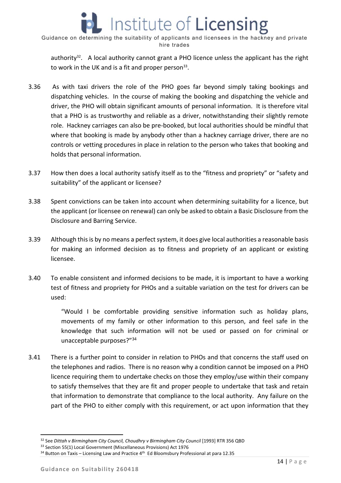

authority<sup>32</sup>. A local authority cannot grant a PHO licence unless the applicant has the right to work in the UK and is a fit and proper person $33$ .

- 3.36 As with taxi drivers the role of the PHO goes far beyond simply taking bookings and dispatching vehicles. In the course of making the booking and dispatching the vehicle and driver, the PHO will obtain significant amounts of personal information. It is therefore vital that a PHO is as trustworthy and reliable as a driver, notwithstanding their slightly remote role. Hackney carriages can also be pre‐booked, but local authorities should be mindful that where that booking is made by anybody other than a hackney carriage driver, there are no controls or vetting procedures in place in relation to the person who takes that booking and holds that personal information.
- 3.37 How then does a local authority satisfy itself as to the "fitness and propriety" or "safety and suitability" of the applicant or licensee?
- 3.38 Spent convictions can be taken into account when determining suitability for a licence, but the applicant (or licensee on renewal) can only be asked to obtain a Basic Disclosure from the Disclosure and Barring Service.
- 3.39 Although this is by no means a perfect system, it does give local authorities a reasonable basis for making an informed decision as to fitness and propriety of an applicant or existing licensee.
- 3.40 To enable consistent and informed decisions to be made, it is important to have a working test of fitness and propriety for PHOs and a suitable variation on the test for drivers can be used:

"Would I be comfortable providing sensitive information such as holiday plans, movements of my family or other information to this person, and feel safe in the knowledge that such information will not be used or passed on for criminal or unacceptable purposes?"34

3.41 There is a further point to consider in relation to PHOs and that concerns the staff used on the telephones and radios. There is no reason why a condition cannot be imposed on a PHO licence requiring them to undertake checks on those they employ/use within their company to satisfy themselves that they are fit and proper people to undertake that task and retain that information to demonstrate that compliance to the local authority. Any failure on the part of the PHO to either comply with this requirement, or act upon information that they

<sup>32</sup> See *Dittah v Birmingham City Council, Choudhry v Birmingham City Council* [1993] RTR 356 QBD

<sup>&</sup>lt;sup>33</sup> Section 55(1) Local Government (Miscellaneous Provisions) Act 1976

 $34$  Button on Taxis – Licensing Law and Practice  $4^{\text{th}}$  Ed Bloomsbury Professional at para 12.35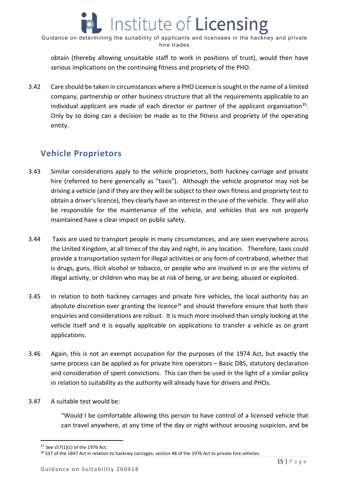obtain (thereby allowing unsuitable staff to work in positions of trust), would then have serious implications on the continuing fitness and propriety of the PHO.

3.42 Care should be taken in circumstances where a PHO Licence is sought in the name of a limited company, partnership or other business structure that all the requirements applicable to an individual applicant are made of each director or partner of the applicant organisation<sup>35</sup>. Only by so doing can a decision be made as to the fitness and propriety of the operating entity.

# **Vehicle Proprietors**

- 3.43 Similar considerations apply to the vehicle proprietors, both hackney carriage and private hire (referred to here generically as "taxis"). Although the vehicle proprietor may not be driving a vehicle (and if they are they will be subject to their own fitness and propriety test to obtain a driver's licence), they clearly have an interest in the use of the vehicle. They will also be responsible for the maintenance of the vehicle, and vehicles that are not properly maintained have a clear impact on public safety.
- 3.44 Taxis are used to transport people in many circumstances, and are seen everywhere across the United Kingdom, at all times of the day and night, in any location. Therefore, taxis could provide a transportation system for illegal activities or any form of contraband, whether that is drugs, guns, illicit alcohol or tobacco, or people who are involved in or are the victims of illegal activity, or children who may be at risk of being, or are being, abused or exploited.
- 3.45 In relation to both hackney carriages and private hire vehicles, the local authority has an absolute discretion over granting the licence<sup>36</sup> and should therefore ensure that both their enquiries and considerations are robust. It is much more involved than simply looking at the vehicle itself and it is equally applicable on applications to transfer a vehicle as on grant applications.
- 3.46 Again, this is not an exempt occupation for the purposes of the 1974 Act, but exactly the same process can be applied as for private hire operators – Basic DBS, statutory declaration and consideration of spent convictions. This can then be used in the light of a similar policy in relation to suitability as the authority will already have for drivers and PHOs.
- 3.47 A suitable test would be:

"Would I be comfortable allowing this person to have control of a licensed vehicle that can travel anywhere, at any time of the day or night without arousing suspicion, and be

 $35$  See s57(1)(c) of the 1976 Act.

<sup>&</sup>lt;sup>36</sup> S37 of the 1847 Act in relation to hackney carriages; section 48 of the 1976 Act to private hire vehicles.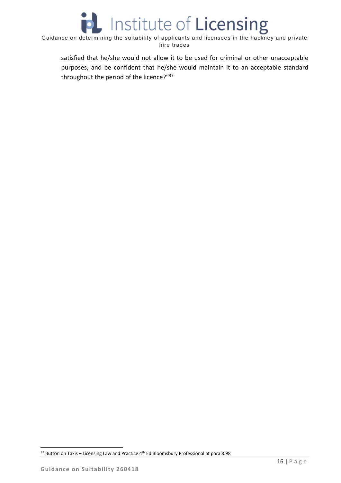

satisfied that he/she would not allow it to be used for criminal or other unacceptable purposes, and be confident that he/she would maintain it to an acceptable standard throughout the period of the licence?"37

  $37$  Button on Taxis – Licensing Law and Practice  $4^{\text{th}}$  Ed Bloomsbury Professional at para 8.98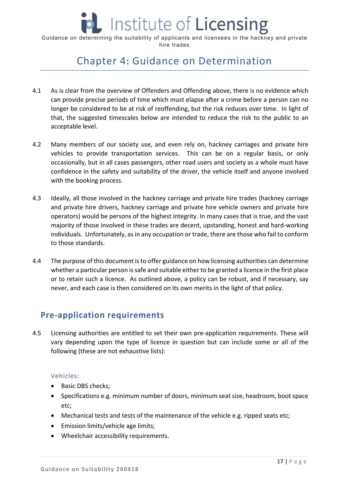

# Chapter 4**:** Guidance on Determination

- 4.1 As is clear from the overview of Offenders and Offending above, there is no evidence which can provide precise periods of time which must elapse after a crime before a person can no longer be considered to be at risk of reoffending, but the risk reduces over time. In light of that, the suggested timescales below are intended to reduce the risk to the public to an acceptable level.
- 4.2 Many members of our society use, and even rely on, hackney carriages and private hire vehicles to provide transportation services. This can be on a regular basis, or only occasionally, but in all cases passengers, other road users and society as a whole must have confidence in the safety and suitability of the driver, the vehicle itself and anyone involved with the booking process.
- 4.3 Ideally, all those involved in the hackney carriage and private hire trades (hackney carriage and private hire drivers, hackney carriage and private hire vehicle owners and private hire operators) would be persons of the highest integrity. In many cases that is true, and the vast majority of those involved in these trades are decent, upstanding, honest and hard‐working individuals. Unfortunately, as in any occupation or trade, there are those who fail to conform to those standards.
- 4.4 The purpose of this document is to offer guidance on how licensing authorities can determine whether a particular person is safe and suitable either to be granted a licence in the first place or to retain such a licence. As outlined above, a policy can be robust, and if necessary, say never, and each case is then considered on its own merits in the light of that policy.

## **Pre‐application requirements**

4.5 Licensing authorities are entitled to set their own pre-application requirements. These will vary depending upon the type of licence in question but can include some or all of the following (these are not exhaustive lists):

#### Vehicles:

- Basic DBS checks;
- Specifications e.g. minimum number of doors, minimum seat size, headroom, boot space etc;
- Mechanical tests and tests of the maintenance of the vehicle e.g. ripped seats etc;
- Emission limits/vehicle age limits;
- Wheelchair accessibility requirements.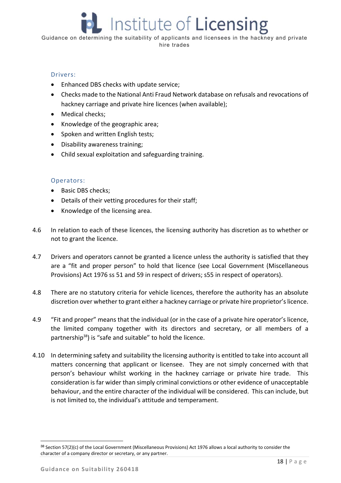#### Drivers:

- Enhanced DBS checks with update service;
- Checks made to the National Anti Fraud Network database on refusals and revocations of hackney carriage and private hire licences (when available);
- Medical checks;
- Knowledge of the geographic area;
- Spoken and written English tests;
- Disability awareness training;
- Child sexual exploitation and safeguarding training.

#### Operators:

- Basic DBS checks;
- Details of their vetting procedures for their staff;
- Knowledge of the licensing area.
- 4.6 In relation to each of these licences, the licensing authority has discretion as to whether or not to grant the licence.
- 4.7 Drivers and operators cannot be granted a licence unless the authority is satisfied that they are a "fit and proper person" to hold that licence (see Local Government (Miscellaneous Provisions) Act 1976 ss 51 and 59 in respect of drivers; s55 in respect of operators).
- 4.8 There are no statutory criteria for vehicle licences, therefore the authority has an absolute discretion over whether to grant either a hackney carriage or private hire proprietor's licence.
- 4.9 "Fit and proper" means that the individual (or in the case of a private hire operator's licence, the limited company together with its directors and secretary, or all members of a partnership<sup>38</sup>) is "safe and suitable" to hold the licence.
- 4.10 In determining safety and suitability the licensing authority is entitled to take into account all matters concerning that applicant or licensee. They are not simply concerned with that person's behaviour whilst working in the hackney carriage or private hire trade. This consideration is far wider than simply criminal convictions or other evidence of unacceptable behaviour, and the entire character of the individual will be considered. This can include, but is not limited to, the individual's attitude and temperament.

<sup>38</sup> Section 57(2)(c) of the Local Government (Miscellaneous Provisions) Act 1976 allows a local authority to consider the character of a company director or secretary, or any partner.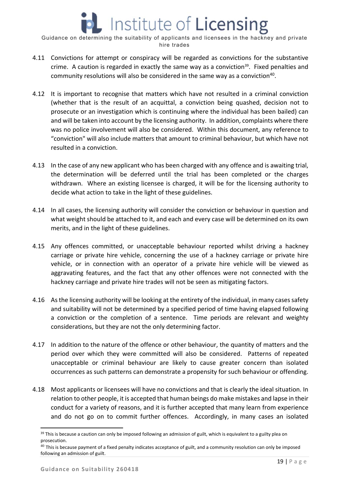- 4.11 Convictions for attempt or conspiracy will be regarded as convictions for the substantive crime. A caution is regarded in exactly the same way as a conviction<sup>39</sup>. Fixed penalties and community resolutions will also be considered in the same way as a conviction<sup>40</sup>.
- 4.12 It is important to recognise that matters which have not resulted in a criminal conviction (whether that is the result of an acquittal, a conviction being quashed, decision not to prosecute or an investigation which is continuing where the individual has been bailed) can and will be taken into account by the licensing authority. In addition, complaints where there was no police involvement will also be considered. Within this document, any reference to "conviction" will also include matters that amount to criminal behaviour, but which have not resulted in a conviction.
- 4.13 In the case of any new applicant who has been charged with any offence and is awaiting trial, the determination will be deferred until the trial has been completed or the charges withdrawn. Where an existing licensee is charged, it will be for the licensing authority to decide what action to take in the light of these guidelines.
- 4.14 In all cases, the licensing authority will consider the conviction or behaviour in question and what weight should be attached to it, and each and every case will be determined on its own merits, and in the light of these guidelines.
- 4.15 Any offences committed, or unacceptable behaviour reported whilst driving a hackney carriage or private hire vehicle, concerning the use of a hackney carriage or private hire vehicle, or in connection with an operator of a private hire vehicle will be viewed as aggravating features, and the fact that any other offences were not connected with the hackney carriage and private hire trades will not be seen as mitigating factors.
- 4.16 As the licensing authority will be looking at the entirety of the individual, in many cases safety and suitability will not be determined by a specified period of time having elapsed following a conviction or the completion of a sentence. Time periods are relevant and weighty considerations, but they are not the only determining factor.
- 4.17 In addition to the nature of the offence or other behaviour, the quantity of matters and the period over which they were committed will also be considered. Patterns of repeated unacceptable or criminal behaviour are likely to cause greater concern than isolated occurrences as such patterns can demonstrate a propensity for such behaviour or offending.
- 4.18 Most applicants or licensees will have no convictions and that is clearly the ideal situation. In relation to other people, it is accepted that human beings do make mistakes and lapse in their conduct for a variety of reasons, and it is further accepted that many learn from experience and do not go on to commit further offences. Accordingly, in many cases an isolated

<sup>&</sup>lt;sup>39</sup> This is because a caution can only be imposed following an admission of guilt, which is equivalent to a guilty plea on prosecution.

 $^{40}$  This is because payment of a fixed penalty indicates acceptance of guilt, and a community resolution can only be imposed following an admission of guilt.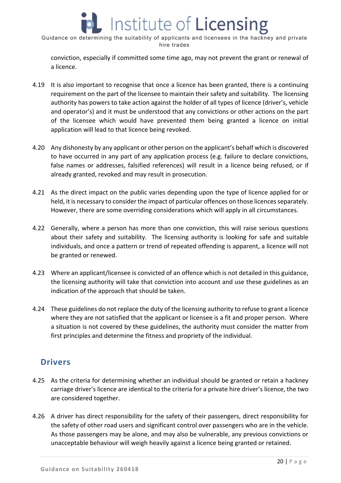

conviction, especially if committed some time ago, may not prevent the grant or renewal of a licence.

- 4.19 It is also important to recognise that once a licence has been granted, there is a continuing requirement on the part of the licensee to maintain their safety and suitability. The licensing authority has powers to take action against the holder of all types of licence (driver's, vehicle and operator's) and it must be understood that any convictions or other actions on the part of the licensee which would have prevented them being granted a licence on initial application will lead to that licence being revoked.
- 4.20 Any dishonesty by any applicant or other person on the applicant's behalf which is discovered to have occurred in any part of any application process (e.g. failure to declare convictions, false names or addresses, falsified references) will result in a licence being refused, or if already granted, revoked and may result in prosecution.
- 4.21 As the direct impact on the public varies depending upon the type of licence applied for or held, it is necessary to consider the impact of particular offences on those licences separately. However, there are some overriding considerations which will apply in all circumstances.
- 4.22 Generally, where a person has more than one conviction, this will raise serious questions about their safety and suitability. The licensing authority is looking for safe and suitable individuals, and once a pattern or trend of repeated offending is apparent, a licence will not be granted or renewed.
- 4.23 Where an applicant/licensee is convicted of an offence which is not detailed in this guidance, the licensing authority will take that conviction into account and use these guidelines as an indication of the approach that should be taken.
- 4.24 These guidelines do not replace the duty of the licensing authority to refuse to grant a licence where they are not satisfied that the applicant or licensee is a fit and proper person. Where a situation is not covered by these guidelines, the authority must consider the matter from first principles and determine the fitness and propriety of the individual.

# **Drivers**

- 4.25 As the criteria for determining whether an individual should be granted or retain a hackney carriage driver's licence are identical to the criteria for a private hire driver's licence, the two are considered together.
- 4.26 A driver has direct responsibility for the safety of their passengers, direct responsibility for the safety of other road users and significant control over passengers who are in the vehicle. As those passengers may be alone, and may also be vulnerable, any previous convictions or unacceptable behaviour will weigh heavily against a licence being granted or retained.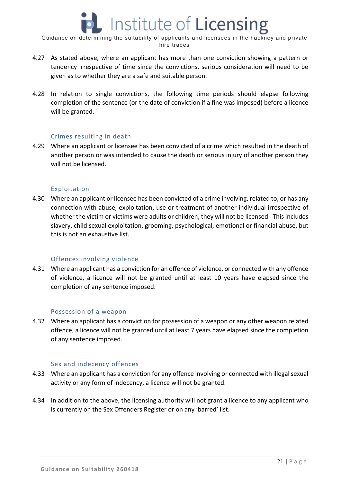- 4.27 As stated above, where an applicant has more than one conviction showing a pattern or tendency irrespective of time since the convictions, serious consideration will need to be given as to whether they are a safe and suitable person.
- 4.28 In relation to single convictions, the following time periods should elapse following completion of the sentence (or the date of conviction if a fine was imposed) before a licence will be granted.

#### Crimes resulting in death

4.29 Where an applicant or licensee has been convicted of a crime which resulted in the death of another person or was intended to cause the death or serious injury of another person they will not be licensed.

#### Exploitation

4.30 Where an applicant or licensee has been convicted of a crime involving, related to, or has any connection with abuse, exploitation, use or treatment of another individual irrespective of whether the victim or victims were adults or children, they will not be licensed. This includes slavery, child sexual exploitation, grooming, psychological, emotional or financial abuse, but this is not an exhaustive list.

#### Offences involving violence

4.31 Where an applicant has a conviction for an offence of violence, or connected with any offence of violence, a licence will not be granted until at least 10 years have elapsed since the completion of any sentence imposed.

#### Possession of a weapon

4.32 Where an applicant has a conviction for possession of a weapon or any other weapon related offence, a licence will not be granted until at least 7 years have elapsed since the completion of any sentence imposed.

#### Sex and indecency offences

- 4.33 Where an applicant has a conviction for any offence involving or connected with illegal sexual activity or any form of indecency, a licence will not be granted.
- 4.34 In addition to the above, the licensing authority will not grant a licence to any applicant who is currently on the Sex Offenders Register or on any 'barred' list.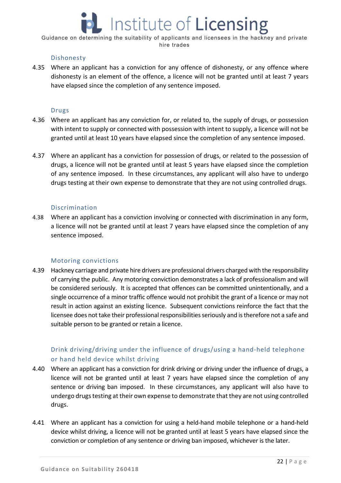# Institute of Licensing

Guidance on determining the suitability of applicants and licensees in the hackney and private hire trades

#### Dishonesty

4.35 Where an applicant has a conviction for any offence of dishonesty, or any offence where dishonesty is an element of the offence, a licence will not be granted until at least 7 years have elapsed since the completion of any sentence imposed.

#### Drugs

- 4.36 Where an applicant has any conviction for, or related to, the supply of drugs, or possession with intent to supply or connected with possession with intent to supply, a licence will not be granted until at least 10 years have elapsed since the completion of any sentence imposed.
- 4.37 Where an applicant has a conviction for possession of drugs, or related to the possession of drugs, a licence will not be granted until at least 5 years have elapsed since the completion of any sentence imposed. In these circumstances, any applicant will also have to undergo drugs testing at their own expense to demonstrate that they are not using controlled drugs.

#### Discrimination

4.38 Where an applicant has a conviction involving or connected with discrimination in any form, a licence will not be granted until at least 7 years have elapsed since the completion of any sentence imposed.

#### Motoring convictions

4.39 Hackney carriage and private hire drivers are professional drivers charged with the responsibility of carrying the public. Any motoring conviction demonstrates a lack of professionalism and will be considered seriously. It is accepted that offences can be committed unintentionally, and a single occurrence of a minor traffic offence would not prohibit the grant of a licence or may not result in action against an existing licence. Subsequent convictions reinforce the fact that the licensee does not take their professional responsibilities seriously and is therefore not a safe and suitable person to be granted or retain a licence.

#### Drink driving/driving under the influence of drugs/using a hand‐held telephone or hand held device whilst driving

- 4.40 Where an applicant has a conviction for drink driving or driving under the influence of drugs, a licence will not be granted until at least 7 years have elapsed since the completion of any sentence or driving ban imposed. In these circumstances, any applicant will also have to undergo drugs testing at their own expense to demonstrate that they are not using controlled drugs.
- 4.41 Where an applicant has a conviction for using a held-hand mobile telephone or a hand-held device whilst driving, a licence will not be granted until at least 5 years have elapsed since the conviction or completion of any sentence or driving ban imposed, whichever is the later.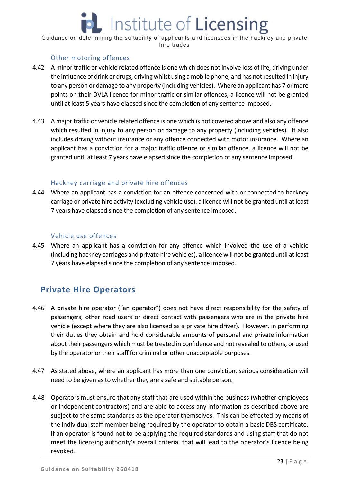# Institute of **Licensing**

Guidance on determining the suitability of applicants and licensees in the hackney and private hire trades

#### Other motoring offences

- 4.42 A minor traffic or vehicle related offence is one which does not involve loss of life, driving under the influence of drink or drugs, driving whilst using a mobile phone, and has not resulted in injury to any person or damage to any property (including vehicles). Where an applicant has 7 or more points on their DVLA licence for minor traffic or similar offences, a licence will not be granted until at least 5 years have elapsed since the completion of any sentence imposed.
- 4.43 A major traffic or vehicle related offence is one which is not covered above and also any offence which resulted in injury to any person or damage to any property (including vehicles). It also includes driving without insurance or any offence connected with motor insurance. Where an applicant has a conviction for a major traffic offence or similar offence, a licence will not be granted until at least 7 years have elapsed since the completion of any sentence imposed.

#### Hackney carriage and private hire offences

4.44 Where an applicant has a conviction for an offence concerned with or connected to hackney carriage or private hire activity (excluding vehicle use), a licence will not be granted until at least 7 years have elapsed since the completion of any sentence imposed.

#### Vehicle use offences

4.45 Where an applicant has a conviction for any offence which involved the use of a vehicle (including hackney carriages and private hire vehicles), a licence will not be granted until at least 7 years have elapsed since the completion of any sentence imposed.

## **Private Hire Operators**

- 4.46 A private hire operator ("an operator") does not have direct responsibility for the safety of passengers, other road users or direct contact with passengers who are in the private hire vehicle (except where they are also licensed as a private hire driver). However, in performing their duties they obtain and hold considerable amounts of personal and private information about their passengers which must be treated in confidence and not revealed to others, or used by the operator or their staff for criminal or other unacceptable purposes.
- 4.47 As stated above, where an applicant has more than one conviction, serious consideration will need to be given as to whether they are a safe and suitable person.
- 4.48 Operators must ensure that any staff that are used within the business (whether employees or independent contractors) and are able to access any information as described above are subject to the same standards as the operator themselves. This can be effected by means of the individual staff member being required by the operator to obtain a basic DBS certificate. If an operator is found not to be applying the required standards and using staff that do not meet the licensing authority's overall criteria, that will lead to the operator's licence being revoked.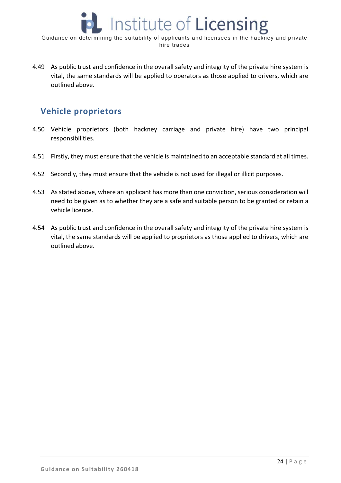

4.49 As public trust and confidence in the overall safety and integrity of the private hire system is vital, the same standards will be applied to operators as those applied to drivers, which are outlined above.

## **Vehicle proprietors**

- 4.50 Vehicle proprietors (both hackney carriage and private hire) have two principal responsibilities.
- 4.51 Firstly, they must ensure that the vehicle is maintained to an acceptable standard at all times.
- 4.52 Secondly, they must ensure that the vehicle is not used for illegal or illicit purposes.
- 4.53 As stated above, where an applicant has more than one conviction, serious consideration will need to be given as to whether they are a safe and suitable person to be granted or retain a vehicle licence.
- 4.54 As public trust and confidence in the overall safety and integrity of the private hire system is vital, the same standards will be applied to proprietors as those applied to drivers, which are outlined above.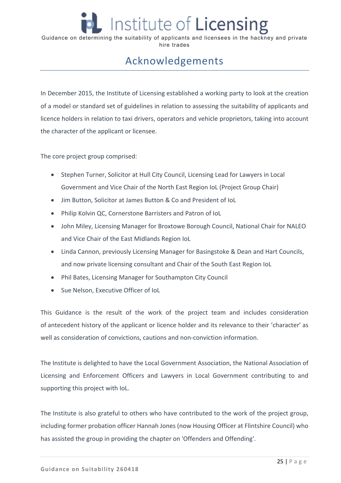# Acknowledgements

In December 2015, the Institute of Licensing established a working party to look at the creation of a model or standard set of guidelines in relation to assessing the suitability of applicants and licence holders in relation to taxi drivers, operators and vehicle proprietors, taking into account the character of the applicant or licensee.

The core project group comprised:

- Stephen Turner, Solicitor at Hull City Council, Licensing Lead for Lawyers in Local Government and Vice Chair of the North East Region IoL (Project Group Chair)
- Jim Button, Solicitor at James Button & Co and President of IoL
- Philip Kolvin QC, Cornerstone Barristers and Patron of IoL
- John Miley, Licensing Manager for Broxtowe Borough Council, National Chair for NALEO and Vice Chair of the East Midlands Region IoL
- Linda Cannon, previously Licensing Manager for Basingstoke & Dean and Hart Councils, and now private licensing consultant and Chair of the South East Region IoL
- Phil Bates, Licensing Manager for Southampton City Council
- Sue Nelson, Executive Officer of IoL

This Guidance is the result of the work of the project team and includes consideration of antecedent history of the applicant or licence holder and its relevance to their 'character' as well as consideration of convictions, cautions and non-conviction information.

The Institute is delighted to have the Local Government Association, the National Association of Licensing and Enforcement Officers and Lawyers in Local Government contributing to and supporting this project with IoL.

The Institute is also grateful to others who have contributed to the work of the project group, including former probation officer Hannah Jones (now Housing Officer at Flintshire Council) who has assisted the group in providing the chapter on 'Offenders and Offending'.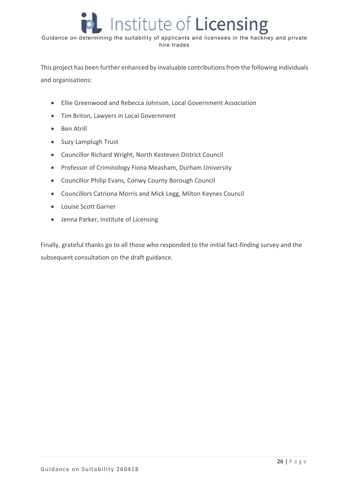This project has been further enhanced by invaluable contributions from the following individuals and organisations:

- Ellie Greenwood and Rebecca Johnson, Local Government Association
- Tim Briton, Lawyers in Local Government
- Ben Atrill
- Suzy Lamplugh Trust
- Councillor Richard Wright, North Kesteven District Council
- Professor of Criminology Fiona Measham, Durham University
- Councillor Philip Evans, Conwy County Borough Council
- Councillors Catriona Morris and Mick Legg, Milton Keynes Council
- Louise Scott Garner
- Jenna Parker, Institute of Licensing

Finally, grateful thanks go to all those who responded to the initial fact-finding survey and the subsequent consultation on the draft guidance.